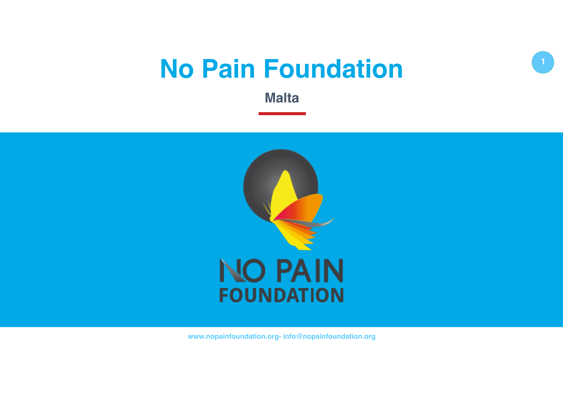# **No Pain Foundation**

**1**

**Malta**



**www.nopainfoundation.org- info@nopainfoundation.org**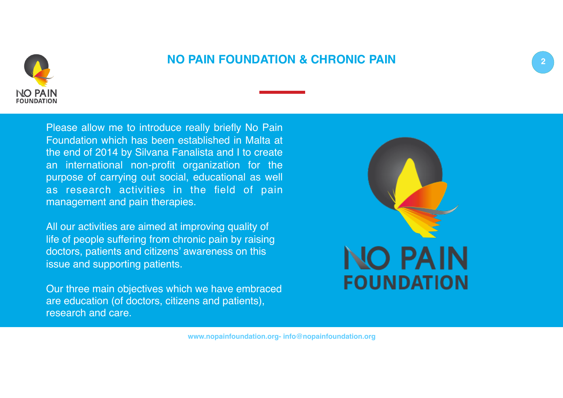

## **NO PAIN FOUNDATION & CHRONIC PAIN**

Please allow me to introduce really briefly No Pain Foundation which has been established in Malta at the end of 2014 by Silvana Fanalista and I to create an international non-profit organization for the purpose of carrying out social, educational as well as research activities in the field of pain management and pain therapies.

All our activities are aimed at improving quality of life of people suffering from chronic pain by raising doctors, patients and citizens' awareness on this issue and supporting patients.

Our three main objectives which we have embraced are education (of doctors, citizens and patients), research and care.

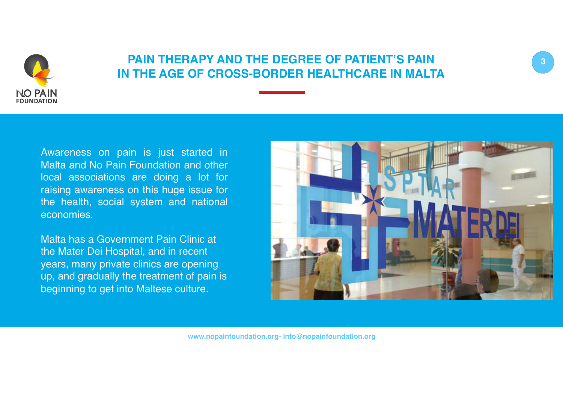



Awareness on pain is just started in Malta and No Pain Foundation and other local associations are doing a lot for raising awareness on this huge issue for the health, social system and national economies.

**NO PAIN FOUNDATION** 

> Malta has a Government Pain Clinic at the Mater Dei Hospital, and in recent years, many private clinics are opening up, and gradually the treatment of pain is beginning to get into Maltese culture.

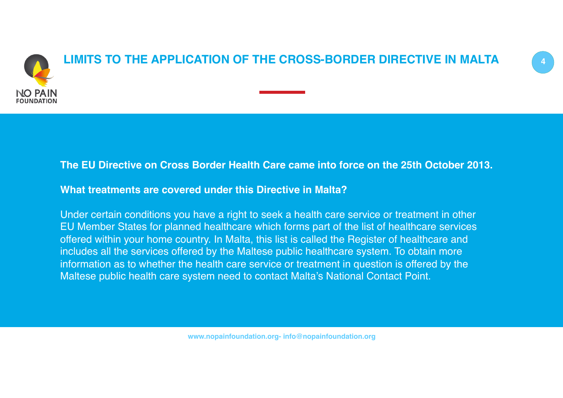

#### **The EU Directive on Cross Border Health Care came into force on the 25th October 2013.**

**What treatments are covered under this Directive in Malta?**

Under certain conditions you have a right to seek a health care service or treatment in other EU Member States for planned healthcare which forms part of the list of healthcare services offered within your home country. In Malta, this list is called the Register of healthcare and includes all the services offered by the Maltese public healthcare system. To obtain more information as to whether the health care service or treatment in question is offered by the Maltese public health care system need to contact Malta's National Contact Point.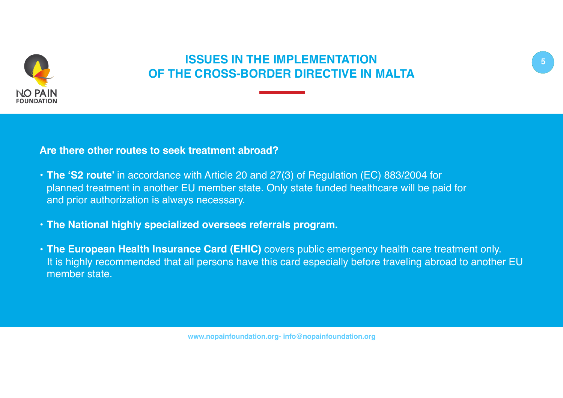

## **ISSUES IN THE IMPLEMENTATION OF THE CROSS-BORDER DIRECTIVE IN MALTA**

#### **Are there other routes to seek treatment abroad?**

- **The 'S2 route'** in accordance with Article 20 and 27(3) of Regulation (EC) 883/2004 for planned treatment in another EU member state. Only state funded healthcare will be paid for and prior authorization is always necessary.
- **The National highly specialized oversees referrals program.**
- **The European Health Insurance Card (EHIC)** covers public emergency health care treatment only. It is highly recommended that all persons have this card especially before traveling abroad to another EU member state.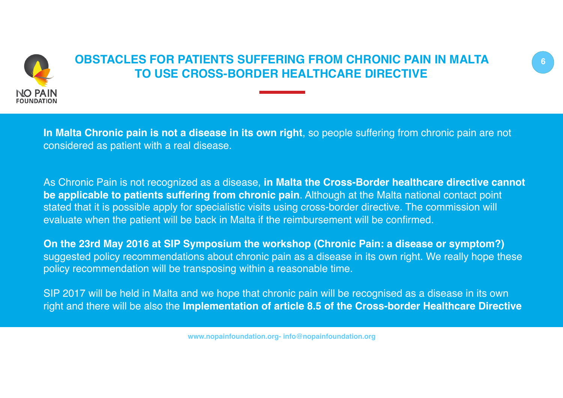

# **OBSTACLES FOR PATIENTS SUFFERING FROM CHRONIC PAIN IN MALTA 6 TO USE CROSS-BORDER HEALTHCARE DIRECTIVE**

**In Malta Chronic pain is not a disease in its own right**, so people suffering from chronic pain are not considered as patient with a real disease.

As Chronic Pain is not recognized as a disease, **in Malta the Cross-Border healthcare directive cannot be applicable to patients suffering from chronic pain**. Although at the Malta national contact point stated that it is possible apply for specialistic visits using cross-border directive. The commission will evaluate when the patient will be back in Malta if the reimbursement will be confirmed.

**On the 23rd May 2016 at SIP Symposium the workshop (Chronic Pain: a disease or symptom?)** suggested policy recommendations about chronic pain as a disease in its own right. We really hope these policy recommendation will be transposing within a reasonable time.

SIP 2017 will be held in Malta and we hope that chronic pain will be recognised as a disease in its own right and there will be also the **Implementation of article 8.5 of the Cross-border Healthcare Directive** 

**www.nopainfoundation.org- info@nopainfoundation.org**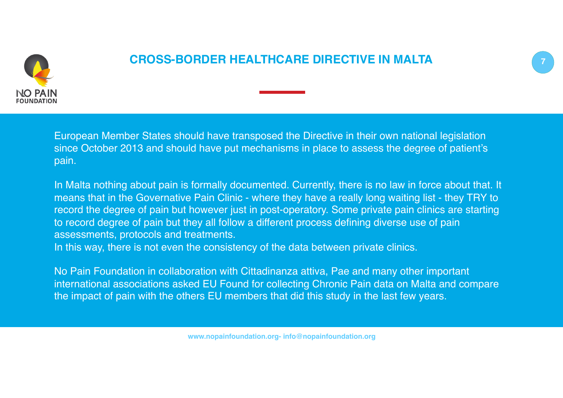

## **CROSS-BORDER HEALTHCARE DIRECTIVE IN MALTA 7**

European Member States should have transposed the Directive in their own national legislation since October 2013 and should have put mechanisms in place to assess the degree of patient's pain.

In Malta nothing about pain is formally documented. Currently, there is no law in force about that. It means that in the Governative Pain Clinic - where they have a really long waiting list - they TRY to record the degree of pain but however just in post-operatory. Some private pain clinics are starting to record degree of pain but they all follow a different process defining diverse use of pain assessments, protocols and treatments. In this way, there is not even the consistency of the data between private clinics.

No Pain Foundation in collaboration with Cittadinanza attiva, Pae and many other important international associations asked EU Found for collecting Chronic Pain data on Malta and compare the impact of pain with the others EU members that did this study in the last few years.